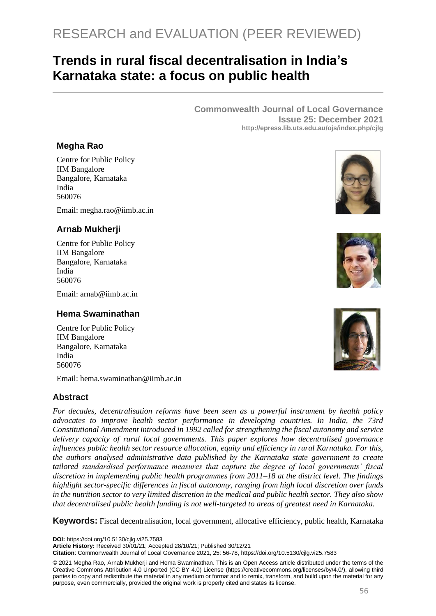# RESEARCH and EVALUATION (PEER REVIEWED)

## **Trends in rural fiscal decentralisation in India's Karnataka state: a focus on public health**

**Commonwealth Journal of Local Governance Issue 25: December 2021 http://epress.lib.uts.edu.au/ojs/index.php/cjlg**

## **Megha Rao**

Centre for Public Policy IIM Bangalore Bangalore, Karnataka India 560076

Email: [megha.rao@iimb.ac.in](mailto:megha.rao@iimb.ac.in)

## **Arnab Mukherji**

Centre for Public Policy IIM Bangalore Bangalore, Karnataka India 560076

Email: arnab@iimb.ac.in

#### **Hema Swaminathan**

Centre for Public Policy IIM Bangalore Bangalore, Karnataka India 560076

Email: hema swaminathan@iimb ac in

#### **Abstract**

*For decades, decentralisation reforms have been seen as a powerful instrument by health policy advocates to improve health sector performance in developing countries. In India, the 73rd Constitutional Amendment introduced in 1992 called for strengthening the fiscal autonomy and service delivery capacity of rural local governments. This paper explores how decentralised governance influences public health sector resource allocation, equity and efficiency in rural Karnataka. For this, the authors analysed administrative data published by the Karnataka state government to create tailored standardised performance measures that capture the degree of local governments' fiscal discretion in implementing public health programmes from 2011–18 at the district level. The findings highlight sector-specific differences in fiscal autonomy, ranging from high local discretion over funds in the nutrition sector to very limited discretion in the medical and public health sector. They also show that decentralised public health funding is not well-targeted to areas of greatest need in Karnataka.* 

**Keywords:** Fiscal decentralisation, local government, allocative efficiency, public health, Karnataka

**DOI:** https://doi.org/10.5130/cjlg.vi25.7583

**Article History:** Received 30/01/21; Accepted 28/10/21; Published 30/12/21

**Citation**: Commonwealth Journal of Local Governance 2021, 25: 56-78, https://doi.org/10.5130/cjlg.vi25.7583

© 2021 Megha Rao, Arnab Mukherji and Hema Swaminathan. This is an Open Access article distributed under the terms of the Creative Commons Attribution 4.0 Unported (CC BY 4.0) License [\(https://creativecommons.org/licenses/by/4.0/\)](https://creativecommons.org/licenses/by/4.0/), allowing third parties to copy and redistribute the material in any medium or format and to remix, transform, and build upon the material for any purpose, even commercially, provided the original work is properly cited and states its license.





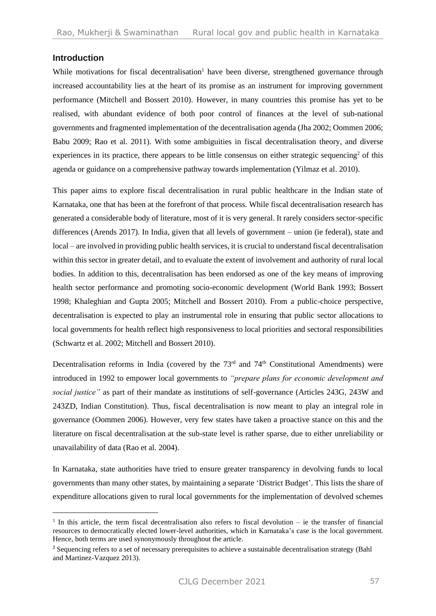#### **Introduction**

While motivations for fiscal decentralisation $<sup>1</sup>$  have been diverse, strengthened governance through</sup> increased accountability lies at the heart of its promise as an instrument for improving government performance (Mitchell and Bossert 2010). However, in many countries this promise has yet to be realised, with abundant evidence of both poor control of finances at the level of sub-national governments and fragmented implementation of the decentralisation agenda (Jha 2002; Oommen 2006; Babu 2009; Rao et al. 2011). With some ambiguities in fiscal decentralisation theory, and diverse experiences in its practice, there appears to be little consensus on either strategic sequencing<sup>2</sup> of this agenda or guidance on a comprehensive pathway towards implementation (Yilmaz et al. 2010).

This paper aims to explore fiscal decentralisation in rural public healthcare in the Indian state of Karnataka, one that has been at the forefront of that process. While fiscal decentralisation research has generated a considerable body of literature, most of it is very general. It rarely considers sector-specific differences (Arends 2017). In India, given that all levels of government – union (ie federal), state and local – are involved in providing public health services, it is crucial to understand fiscal decentralisation within this sector in greater detail, and to evaluate the extent of involvement and authority of rural local bodies. In addition to this, decentralisation has been endorsed as one of the key means of improving health sector performance and promoting socio-economic development (World Bank 1993; Bossert 1998; Khaleghian and Gupta 2005; Mitchell and Bossert 2010). From a public-choice perspective, decentralisation is expected to play an instrumental role in ensuring that public sector allocations to local governments for health reflect high responsiveness to local priorities and sectoral responsibilities (Schwartz et al. 2002; Mitchell and Bossert 2010).

Decentralisation reforms in India (covered by the  $73<sup>rd</sup>$  and  $74<sup>th</sup>$  Constitutional Amendments) were introduced in 1992 to empower local governments to *"prepare plans for economic development and social justice"* as part of their mandate as institutions of self-governance (Articles 243G, 243W and 243ZD, Indian Constitution). Thus, fiscal decentralisation is now meant to play an integral role in governance (Oommen 2006). However, very few states have taken a proactive stance on this and the literature on fiscal decentralisation at the sub-state level is rather sparse, due to either unreliability or unavailability of data (Rao et al. 2004).

In Karnataka, state authorities have tried to ensure greater transparency in devolving funds to local governments than many other states, by maintaining a separate 'District Budget'. This lists the share of expenditure allocations given to rural local governments for the implementation of devolved schemes

<sup>&</sup>lt;sup>1</sup> In this article, the term fiscal decentralisation also refers to fiscal devolution – ie the transfer of financial resources to democratically elected lower-level authorities, which in Karnataka's case is the local government. Hence, both terms are used synonymously throughout the article.

<sup>&</sup>lt;sup>2</sup> Sequencing refers to a set of necessary prerequisites to achieve a sustainable decentralisation strategy (Bahl and Martinez-Vazquez 2013).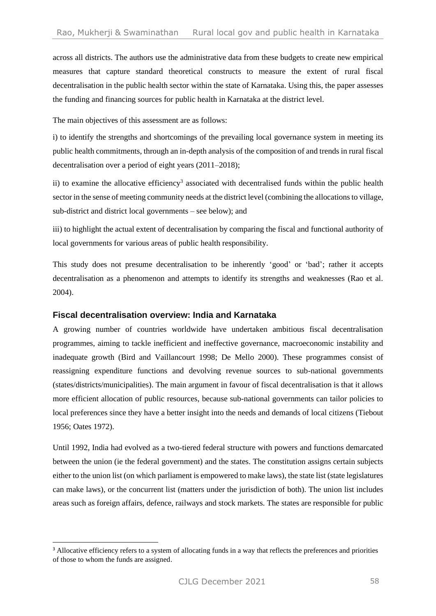across all districts. The authors use the administrative data from these budgets to create new empirical measures that capture standard theoretical constructs to measure the extent of rural fiscal decentralisation in the public health sector within the state of Karnataka. Using this, the paper assesses the funding and financing sources for public health in Karnataka at the district level.

The main objectives of this assessment are as follows:

i) to identify the strengths and shortcomings of the prevailing local governance system in meeting its public health commitments, through an in-depth analysis of the composition of and trends in rural fiscal decentralisation over a period of eight years (2011–2018);

ii) to examine the allocative efficiency<sup>3</sup> associated with decentralised funds within the public health sector in the sense of meeting community needs at the district level (combining the allocations to village, sub-district and district local governments – see below); and

iii) to highlight the actual extent of decentralisation by comparing the fiscal and functional authority of local governments for various areas of public health responsibility.

This study does not presume decentralisation to be inherently 'good' or 'bad'; rather it accepts decentralisation as a phenomenon and attempts to identify its strengths and weaknesses (Rao et al. 2004).

## **Fiscal decentralisation overview: India and Karnataka**

A growing number of countries worldwide have undertaken ambitious fiscal decentralisation programmes, aiming to tackle inefficient and ineffective governance, macroeconomic instability and inadequate growth (Bird and Vaillancourt 1998; De Mello 2000). These programmes consist of reassigning expenditure functions and devolving revenue sources to sub-national governments (states/districts/municipalities). The main argument in favour of fiscal decentralisation is that it allows more efficient allocation of public resources, because sub-national governments can tailor policies to local preferences since they have a better insight into the needs and demands of local citizens (Tiebout 1956; Oates 1972).

Until 1992, India had evolved as a two-tiered federal structure with powers and functions demarcated between the union (ie the federal government) and the states. The constitution assigns certain subjects either to the union list (on which parliament is empowered to make laws), the state list (state legislatures can make laws), or the concurrent list (matters under the jurisdiction of both). The union list includes areas such as foreign affairs, defence, railways and stock markets. The states are responsible for public

<sup>&</sup>lt;sup>3</sup> Allocative efficiency refers to a system of allocating funds in a way that reflects the preferences and priorities of those to whom the funds are assigned.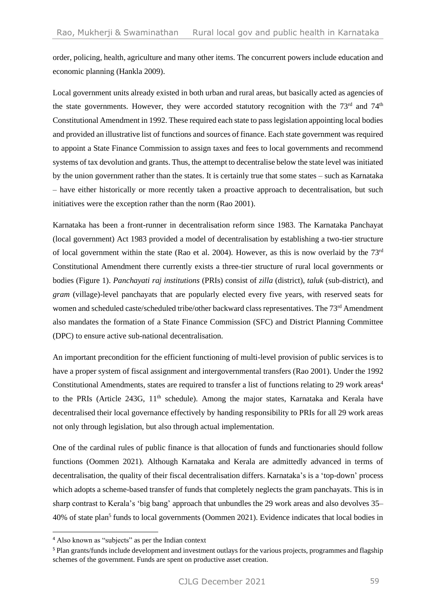order, policing, health, agriculture and many other items. The concurrent powers include education and economic planning (Hankla 2009).

Local government units already existed in both urban and rural areas, but basically acted as agencies of the state governments. However, they were accorded statutory recognition with the 73<sup>rd</sup> and 74<sup>th</sup> Constitutional Amendment in 1992. These required each state to pass legislation appointing local bodies and provided an illustrative list of functions and sources of finance. Each state government was required to appoint a State Finance Commission to assign taxes and fees to local governments and recommend systems of tax devolution and grants. Thus, the attempt to decentralise below the state level was initiated by the union government rather than the states. It is certainly true that some states – such as Karnataka – have either historically or more recently taken a proactive approach to decentralisation, but such initiatives were the exception rather than the norm (Rao 2001).

Karnataka has been a front-runner in decentralisation reform since 1983. The Karnataka Panchayat (local government) Act 1983 provided a model of decentralisation by establishing a two-tier structure of local government within the state (Rao et al. 2004). However, as this is now overlaid by the  $73<sup>rd</sup>$ Constitutional Amendment there currently exists a three-tier structure of rural local governments or bodies (Figure 1). *Panchayati raj institutions* (PRIs) consist of *zilla* (district), *taluk* (sub-district)*,* and *gram* (village)-level panchayats that are popularly elected every five years, with reserved seats for women and scheduled caste/scheduled tribe/other backward class representatives. The 73<sup>rd</sup> Amendment also mandates the formation of a State Finance Commission (SFC) and District Planning Committee (DPC) to ensure active sub-national decentralisation.

An important precondition for the efficient functioning of multi-level provision of public services is to have a proper system of fiscal assignment and intergovernmental transfers (Rao 2001). Under the 1992 Constitutional Amendments, states are required to transfer a list of functions relating to 29 work areas<sup>4</sup> to the PRIs (Article 243G, 11<sup>th</sup> schedule). Among the major states, Karnataka and Kerala have decentralised their local governance effectively by handing responsibility to PRIs for all 29 work areas not only through legislation, but also through actual implementation.

One of the cardinal rules of public finance is that allocation of funds and functionaries should follow functions (Oommen 2021). Although Karnataka and Kerala are admittedly advanced in terms of decentralisation, the quality of their fiscal decentralisation differs. Karnataka's is a 'top-down' process which adopts a scheme-based transfer of funds that completely neglects the gram panchayats. This is in sharp contrast to Kerala's 'big bang' approach that unbundles the 29 work areas and also devolves 35– 40% of state plan<sup>5</sup> funds to local governments (Oommen 2021). Evidence indicates that local bodies in

<sup>4</sup> Also known as "subjects" as per the Indian context

<sup>5</sup> Plan grants/funds include development and investment outlays for the various projects, programmes and flagship schemes of the government. Funds are spent on productive asset creation.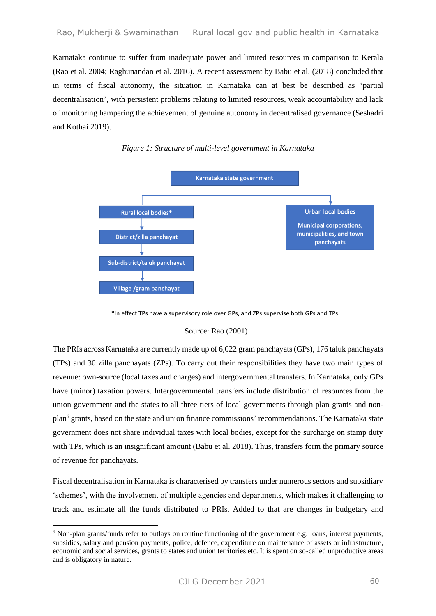Karnataka continue to suffer from inadequate power and limited resources in comparison to Kerala (Rao et al. 2004; Raghunandan et al. 2016). A recent assessment by Babu et al. (2018) concluded that in terms of fiscal autonomy, the situation in Karnataka can at best be described as 'partial decentralisation', with persistent problems relating to limited resources, weak accountability and lack of monitoring hampering the achievement of genuine autonomy in decentralised governance (Seshadri and Kothai 2019).



## *Figure 1: Structure of multi-level government in Karnataka*

\*In effect TPs have a supervisory role over GPs, and ZPs supervise both GPs and TPs.

#### Source: Rao (2001)

The PRIs across Karnataka are currently made up of 6,022 gram panchayats (GPs), 176 taluk panchayats (TPs) and 30 zilla panchayats (ZPs). To carry out their responsibilities they have two main types of revenue: own-source (local taxes and charges) and intergovernmental transfers. In Karnataka, only GPs have (minor) taxation powers. Intergovernmental transfers include distribution of resources from the union government and the states to all three tiers of local governments through plan grants and nonplan<sup>6</sup> grants, based on the state and union finance commissions' recommendations. The Karnataka state government does not share individual taxes with local bodies, except for the surcharge on stamp duty with TPs, which is an insignificant amount (Babu et al. 2018). Thus, transfers form the primary source of revenue for panchayats.

Fiscal decentralisation in Karnataka is characterised by transfers under numerous sectors and subsidiary 'schemes', with the involvement of multiple agencies and departments, which makes it challenging to track and estimate all the funds distributed to PRIs. Added to that are changes in budgetary and

<sup>6</sup> Non-plan grants/funds refer to outlays on routine functioning of the government e.g. loans, interest payments, subsidies, salary and pension payments, police, defence, expenditure on maintenance of assets or infrastructure, economic and social services, grants to states and union territories etc. It is spent on so-called unproductive areas and is obligatory in nature.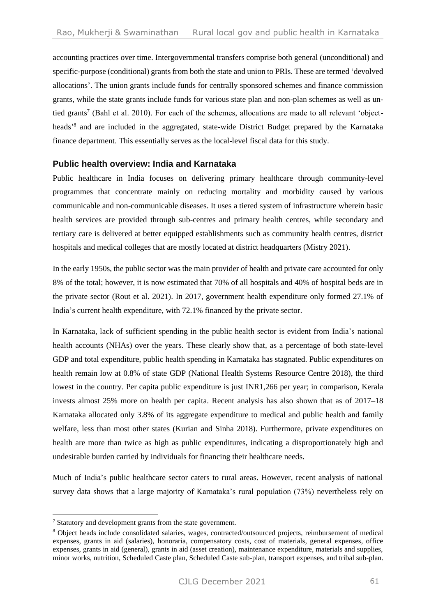accounting practices over time. Intergovernmental transfers comprise both general (unconditional) and specific-purpose (conditional) grants from both the state and union to PRIs. These are termed 'devolved allocations'. The union grants include funds for centrally sponsored schemes and finance commission grants, while the state grants include funds for various state plan and non-plan schemes as well as untied grants<sup>7</sup> (Bahl et al. 2010). For each of the schemes, allocations are made to all relevant 'objectheads<sup>38</sup> and are included in the aggregated, state-wide District Budget prepared by the Karnataka finance department. This essentially serves as the local-level fiscal data for this study.

## **Public health overview: India and Karnataka**

Public healthcare in India focuses on delivering primary healthcare through community-level programmes that concentrate mainly on reducing mortality and morbidity caused by various communicable and non-communicable diseases. It uses a tiered system of infrastructure wherein basic health services are provided through sub-centres and primary health centres, while secondary and tertiary care is delivered at better equipped establishments such as community health centres, district hospitals and medical colleges that are mostly located at district headquarters (Mistry 2021).

In the early 1950s, the public sector was the main provider of health and private care accounted for only 8% of the total; however, it is now estimated that 70% of all hospitals and 40% of hospital beds are in the private sector (Rout et al. 2021). In 2017, government health expenditure only formed 27.1% of India's current health expenditure, with 72.1% financed by the private sector.

In Karnataka, lack of sufficient spending in the public health sector is evident from India's national health accounts (NHAs) over the years. These clearly show that, as a percentage of both state-level GDP and total expenditure, public health spending in Karnataka has stagnated. Public expenditures on health remain low at 0.8% of state GDP (National Health Systems Resource Centre 2018), the third lowest in the country. Per capita public expenditure is just INR1,266 per year; in comparison, Kerala invests almost 25% more on health per capita. Recent analysis has also shown that as of 2017–18 Karnataka allocated only 3.8% of its aggregate expenditure to medical and public health and family welfare, less than most other states (Kurian and Sinha 2018). Furthermore, private expenditures on health are more than twice as high as public expenditures, indicating a disproportionately high and undesirable burden carried by individuals for financing their healthcare needs.

Much of India's public healthcare sector caters to rural areas. However, recent analysis of national survey data shows that a large majority of Karnataka's rural population (73%) nevertheless rely on

<sup>7</sup> Statutory and development grants from the state government.

<sup>8</sup> Object heads include consolidated salaries, wages, contracted/outsourced projects, reimbursement of medical expenses, grants in aid (salaries), honoraria, compensatory costs, cost of materials, general expenses, office expenses, grants in aid (general), grants in aid (asset creation), maintenance expenditure, materials and supplies, minor works, nutrition, Scheduled Caste plan, Scheduled Caste sub-plan, transport expenses, and tribal sub-plan.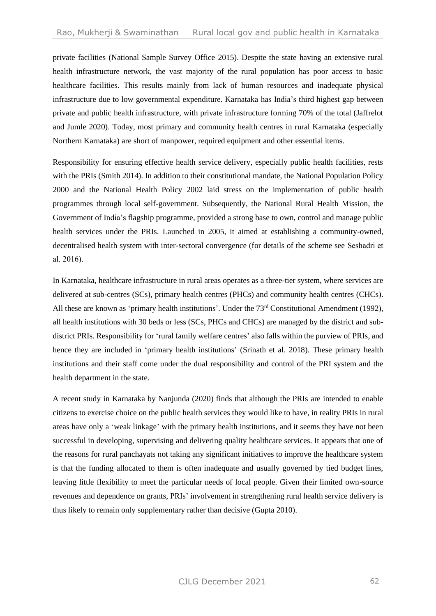private facilities (National Sample Survey Office 2015). Despite the state having an extensive rural health infrastructure network, the vast majority of the rural population has poor access to basic healthcare facilities. This results mainly from lack of human resources and inadequate physical infrastructure due to low governmental expenditure. Karnataka has India's third highest gap between private and public health infrastructure, with private infrastructure forming 70% of the total (Jaffrelot and Jumle 2020). Today, most primary and community health centres in rural Karnataka (especially Northern Karnataka) are short of manpower, required equipment and other essential items.

Responsibility for ensuring effective health service delivery, especially public health facilities, rests with the PRIs (Smith 2014). In addition to their constitutional mandate, the National Population Policy 2000 and the National Health Policy 2002 laid stress on the implementation of public health programmes through local self-government. Subsequently, the National Rural Health Mission, the Government of India's flagship programme, provided a strong base to own, control and manage public health services under the PRIs. Launched in 2005, it aimed at establishing a community-owned, decentralised health system with inter-sectoral convergence (for details of the scheme see Seshadri et al. 2016).

In Karnataka, healthcare infrastructure in rural areas operates as a three-tier system, where services are delivered at sub-centres (SCs), primary health centres (PHCs) and community health centres (CHCs). All these are known as 'primary health institutions'. Under the 73<sup>rd</sup> Constitutional Amendment (1992), all health institutions with 30 beds or less (SCs, PHCs and CHCs) are managed by the district and subdistrict PRIs. Responsibility for 'rural family welfare centres' also falls within the purview of PRIs, and hence they are included in 'primary health institutions' (Srinath et al. 2018). These primary health institutions and their staff come under the dual responsibility and control of the PRI system and the health department in the state.

A recent study in Karnataka by Nanjunda (2020) finds that although the PRIs are intended to enable citizens to exercise choice on the public health services they would like to have, in reality PRIs in rural areas have only a 'weak linkage' with the primary health institutions, and it seems they have not been successful in developing, supervising and delivering quality healthcare services. It appears that one of the reasons for rural panchayats not taking any significant initiatives to improve the healthcare system is that the funding allocated to them is often inadequate and usually governed by tied budget lines, leaving little flexibility to meet the particular needs of local people. Given their limited own-source revenues and dependence on grants, PRIs' involvement in strengthening rural health service delivery is thus likely to remain only supplementary rather than decisive (Gupta 2010).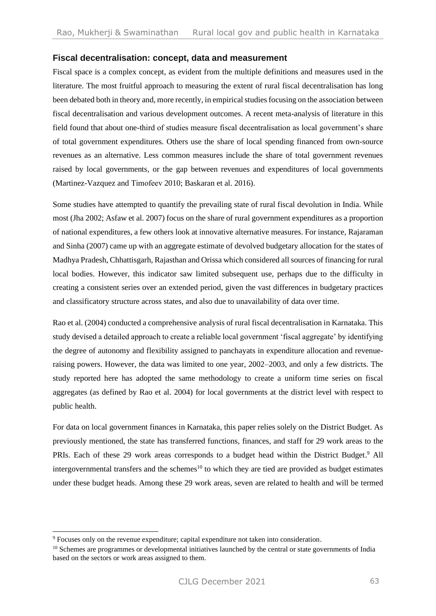## **Fiscal decentralisation: concept, data and measurement**

Fiscal space is a complex concept, as evident from the multiple definitions and measures used in the literature. The most fruitful approach to measuring the extent of rural fiscal decentralisation has long been debated both in theory and, more recently, in empirical studies focusing on the association between fiscal decentralisation and various development outcomes. A recent meta-analysis of literature in this field found that about one-third of studies measure fiscal decentralisation as local government's share of total government expenditures. Others use the share of local spending financed from own-source revenues as an alternative. Less common measures include the share of total government revenues raised by local governments, or the gap between revenues and expenditures of local governments (Martinez-Vazquez and Timofeev 2010; Baskaran et al. 2016).

Some studies have attempted to quantify the prevailing state of rural fiscal devolution in India. While most (Jha 2002; Asfaw et al. 2007) focus on the share of rural government expenditures as a proportion of national expenditures, a few others look at innovative alternative measures. For instance, Rajaraman and Sinha (2007) came up with an aggregate estimate of devolved budgetary allocation for the states of Madhya Pradesh, Chhattisgarh, Rajasthan and Orissa which considered all sources of financing for rural local bodies. However, this indicator saw limited subsequent use, perhaps due to the difficulty in creating a consistent series over an extended period, given the vast differences in budgetary practices and classificatory structure across states, and also due to unavailability of data over time.

Rao et al. (2004) conducted a comprehensive analysis of rural fiscal decentralisation in Karnataka. This study devised a detailed approach to create a reliable local government 'fiscal aggregate' by identifying the degree of autonomy and flexibility assigned to panchayats in expenditure allocation and revenueraising powers. However, the data was limited to one year, 2002–2003, and only a few districts. The study reported here has adopted the same methodology to create a uniform time series on fiscal aggregates (as defined by Rao et al. 2004) for local governments at the district level with respect to public health.

For data on local government finances in Karnataka, this paper relies solely on the District Budget. As previously mentioned, the state has transferred functions, finances, and staff for 29 work areas to the PRIs. Each of these 29 work areas corresponds to a budget head within the District Budget.<sup>9</sup> All intergovernmental transfers and the schemes<sup>10</sup> to which they are tied are provided as budget estimates under these budget heads. Among these 29 work areas, seven are related to health and will be termed

<sup>9</sup> Focuses only on the revenue expenditure; capital expenditure not taken into consideration.

<sup>&</sup>lt;sup>10</sup> Schemes are programmes or developmental initiatives launched by the central or state governments of India based on the sectors or work areas assigned to them.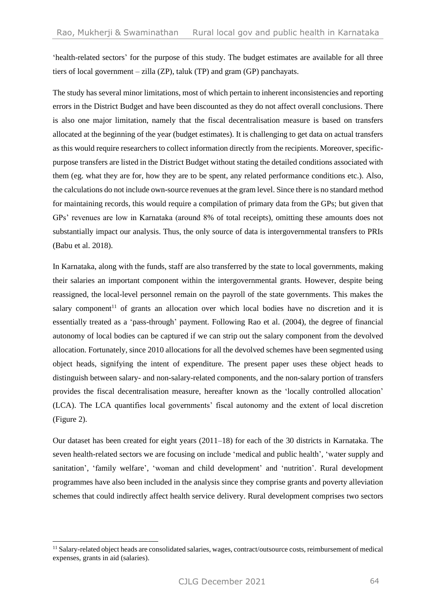'health-related sectors' for the purpose of this study. The budget estimates are available for all three tiers of local government – zilla (ZP), taluk (TP) and gram (GP) panchayats.

The study has several minor limitations, most of which pertain to inherent inconsistencies and reporting errors in the District Budget and have been discounted as they do not affect overall conclusions. There is also one major limitation, namely that the fiscal decentralisation measure is based on transfers allocated at the beginning of the year (budget estimates). It is challenging to get data on actual transfers as this would require researchers to collect information directly from the recipients. Moreover, specificpurpose transfers are listed in the District Budget without stating the detailed conditions associated with them (eg. what they are for, how they are to be spent, any related performance conditions etc.). Also, the calculations do not include own-source revenues at the gram level. Since there is no standard method for maintaining records, this would require a compilation of primary data from the GPs; but given that GPs' revenues are low in Karnataka (around 8% of total receipts), omitting these amounts does not substantially impact our analysis. Thus, the only source of data is intergovernmental transfers to PRIs (Babu et al. 2018).

In Karnataka, along with the funds, staff are also transferred by the state to local governments, making their salaries an important component within the intergovernmental grants. However, despite being reassigned, the local-level personnel remain on the payroll of the state governments. This makes the salary component<sup>11</sup> of grants an allocation over which local bodies have no discretion and it is essentially treated as a 'pass-through' payment. Following Rao et al. (2004), the degree of financial autonomy of local bodies can be captured if we can strip out the salary component from the devolved allocation. Fortunately, since 2010 allocations for all the devolved schemes have been segmented using object heads, signifying the intent of expenditure. The present paper uses these object heads to distinguish between salary- and non-salary-related components, and the non-salary portion of transfers provides the fiscal decentralisation measure, hereafter known as the 'locally controlled allocation' (LCA). The LCA quantifies local governments' fiscal autonomy and the extent of local discretion (Figure 2).

Our dataset has been created for eight years (2011–18) for each of the 30 districts in Karnataka. The seven health-related sectors we are focusing on include 'medical and public health', 'water supply and sanitation', 'family welfare', 'woman and child development' and 'nutrition'. Rural development programmes have also been included in the analysis since they comprise grants and poverty alleviation schemes that could indirectly affect health service delivery. Rural development comprises two sectors

<sup>11</sup> Salary-related object heads are consolidated salaries, wages, contract/outsource costs, reimbursement of medical expenses, grants in aid (salaries).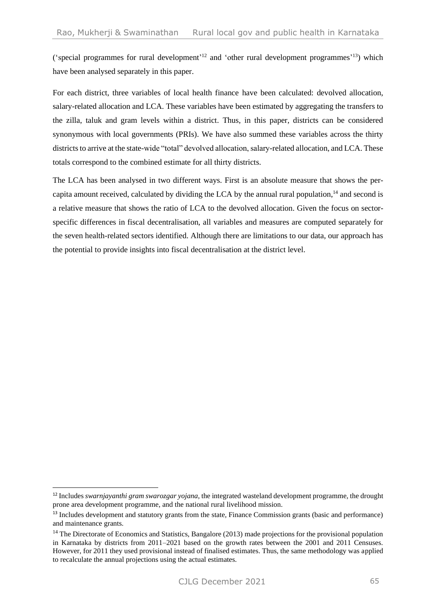('special programmes for rural development'<sup>12</sup> and 'other rural development programmes'<sup>13</sup>) which have been analysed separately in this paper.

For each district, three variables of local health finance have been calculated: devolved allocation, salary-related allocation and LCA. These variables have been estimated by aggregating the transfers to the zilla, taluk and gram levels within a district. Thus, in this paper, districts can be considered synonymous with local governments (PRIs). We have also summed these variables across the thirty districts to arrive at the state-wide "total" devolved allocation, salary-related allocation, and LCA. These totals correspond to the combined estimate for all thirty districts.

The LCA has been analysed in two different ways. First is an absolute measure that shows the percapita amount received, calculated by dividing the LCA by the annual rural population,<sup>14</sup> and second is a relative measure that shows the ratio of LCA to the devolved allocation. Given the focus on sectorspecific differences in fiscal decentralisation, all variables and measures are computed separately for the seven health-related sectors identified. Although there are limitations to our data, our approach has the potential to provide insights into fiscal decentralisation at the district level.

<sup>12</sup> Includes *swarnjayanthi gram swarozgar yojana*, the integrated wasteland development programme, the drought prone area development programme, and the national rural livelihood mission.

<sup>13</sup> Includes development and statutory grants from the state, Finance Commission grants (basic and performance) and maintenance grants.

<sup>&</sup>lt;sup>14</sup> The Directorate of Economics and Statistics, Bangalore (2013) made projections for the provisional population in Karnataka by districts from 2011–2021 based on the growth rates between the 2001 and 2011 Censuses. However, for 2011 they used provisional instead of finalised estimates. Thus, the same methodology was applied to recalculate the annual projections using the actual estimates.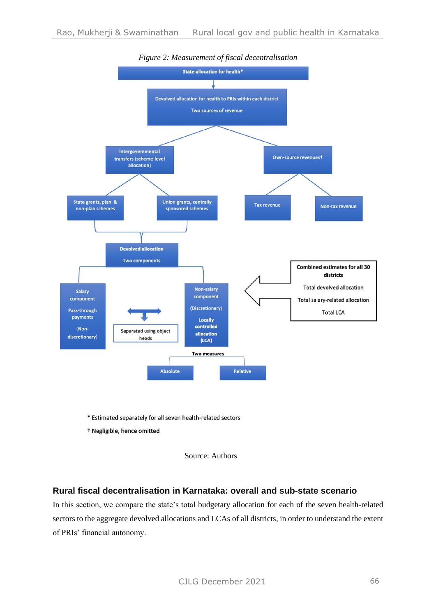

## *Figure 2: Measurement of fiscal decentralisation*

\* Estimated separately for all seven health-related sectors

<sup>†</sup> Negligible, hence omitted



## **Rural fiscal decentralisation in Karnataka: overall and sub-state scenario**

In this section, we compare the state's total budgetary allocation for each of the seven health-related sectors to the aggregate devolved allocations and LCAs of all districts, in order to understand the extent of PRIs' financial autonomy.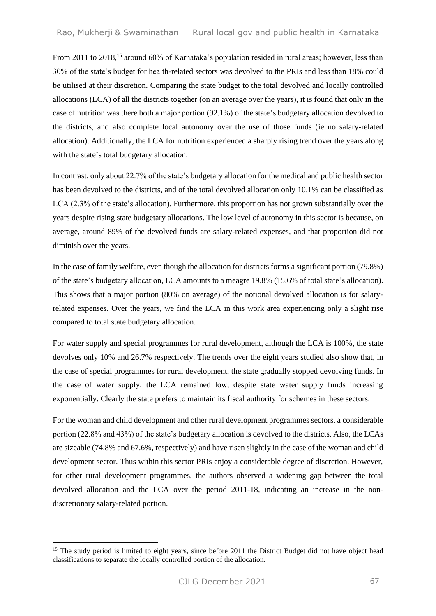From 2011 to 2018,<sup>15</sup> around 60% of Karnataka's population resided in rural areas; however, less than 30% of the state's budget for health-related sectors was devolved to the PRIs and less than 18% could be utilised at their discretion. Comparing the state budget to the total devolved and locally controlled allocations (LCA) of all the districts together (on an average over the years), it is found that only in the case of nutrition was there both a major portion (92.1%) of the state's budgetary allocation devolved to the districts, and also complete local autonomy over the use of those funds (ie no salary-related allocation). Additionally, the LCA for nutrition experienced a sharply rising trend over the years along with the state's total budgetary allocation.

In contrast, only about 22.7% of the state's budgetary allocation for the medical and public health sector has been devolved to the districts, and of the total devolved allocation only 10.1% can be classified as LCA (2.3% of the state's allocation). Furthermore, this proportion has not grown substantially over the years despite rising state budgetary allocations. The low level of autonomy in this sector is because, on average, around 89% of the devolved funds are salary-related expenses, and that proportion did not diminish over the years.

In the case of family welfare, even though the allocation for districts forms a significant portion (79.8%) of the state's budgetary allocation, LCA amounts to a meagre 19.8% (15.6% of total state's allocation). This shows that a major portion (80% on average) of the notional devolved allocation is for salaryrelated expenses. Over the years, we find the LCA in this work area experiencing only a slight rise compared to total state budgetary allocation.

For water supply and special programmes for rural development, although the LCA is 100%, the state devolves only 10% and 26.7% respectively. The trends over the eight years studied also show that, in the case of special programmes for rural development, the state gradually stopped devolving funds. In the case of water supply, the LCA remained low, despite state water supply funds increasing exponentially. Clearly the state prefers to maintain its fiscal authority for schemes in these sectors.

For the woman and child development and other rural development programmes sectors, a considerable portion (22.8% and 43%) of the state's budgetary allocation is devolved to the districts. Also, the LCAs are sizeable (74.8% and 67.6%, respectively) and have risen slightly in the case of the woman and child development sector. Thus within this sector PRIs enjoy a considerable degree of discretion. However, for other rural development programmes, the authors observed a widening gap between the total devolved allocation and the LCA over the period 2011-18, indicating an increase in the nondiscretionary salary-related portion.

<sup>&</sup>lt;sup>15</sup> The study period is limited to eight years, since before 2011 the District Budget did not have object head classifications to separate the locally controlled portion of the allocation.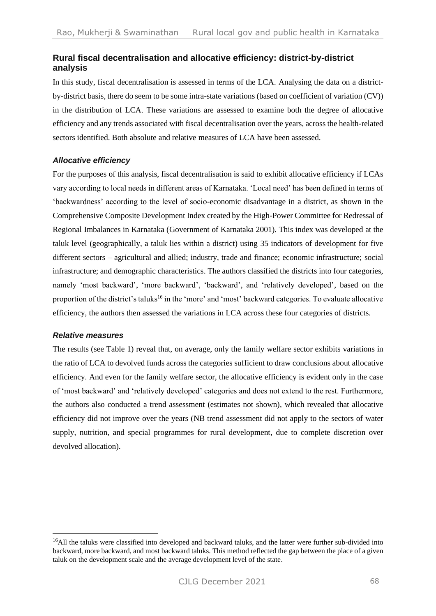## **Rural fiscal decentralisation and allocative efficiency: district-by-district analysis**

In this study, fiscal decentralisation is assessed in terms of the LCA. Analysing the data on a districtby-district basis, there do seem to be some intra-state variations (based on coefficient of variation (CV)) in the distribution of LCA. These variations are assessed to examine both the degree of allocative efficiency and any trends associated with fiscal decentralisation over the years, across the health-related sectors identified. Both absolute and relative measures of LCA have been assessed.

#### *Allocative efficiency*

For the purposes of this analysis, fiscal decentralisation is said to exhibit allocative efficiency if LCAs vary according to local needs in different areas of Karnataka. 'Local need' has been defined in terms of 'backwardness' according to the level of socio-economic disadvantage in a district, as shown in the Comprehensive Composite Development Index created by the High-Power Committee for Redressal of Regional Imbalances in Karnataka (Government of Karnataka 2001). This index was developed at the taluk level (geographically, a taluk lies within a district) using 35 indicators of development for five different sectors – agricultural and allied; industry, trade and finance; economic infrastructure; social infrastructure; and demographic characteristics. The authors classified the districts into four categories, namely 'most backward', 'more backward', 'backward', and 'relatively developed', based on the proportion of the district's taluks<sup>16</sup> in the 'more' and 'most' backward categories. To evaluate allocative efficiency, the authors then assessed the variations in LCA across these four categories of districts.

#### *Relative measures*

The results (see Table 1) reveal that, on average, only the family welfare sector exhibits variations in the ratio of LCA to devolved funds across the categories sufficient to draw conclusions about allocative efficiency. And even for the family welfare sector, the allocative efficiency is evident only in the case of 'most backward' and 'relatively developed' categories and does not extend to the rest. Furthermore, the authors also conducted a trend assessment (estimates not shown), which revealed that allocative efficiency did not improve over the years (NB trend assessment did not apply to the sectors of water supply, nutrition, and special programmes for rural development, due to complete discretion over devolved allocation).

<sup>&</sup>lt;sup>16</sup>All the taluks were classified into developed and backward taluks, and the latter were further sub-divided into backward, more backward, and most backward taluks. This method reflected the gap between the place of a given taluk on the development scale and the average development level of the state.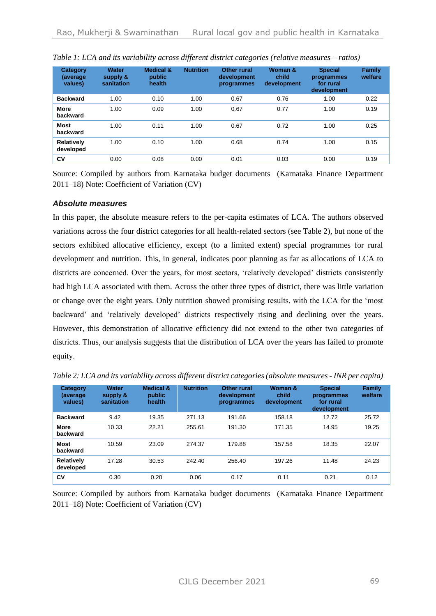| Category<br>(average)<br>values) | <b>Water</b><br>supply &<br>sanitation | <b>Medical &amp;</b><br>public<br>health | <b>Nutrition</b> | <b>Other rural</b><br>development<br>programmes | Woman &<br>child<br>development | <b>Special</b><br>programmes<br>for rural<br>development | Family<br>welfare |
|----------------------------------|----------------------------------------|------------------------------------------|------------------|-------------------------------------------------|---------------------------------|----------------------------------------------------------|-------------------|
| <b>Backward</b>                  | 1.00                                   | 0.10                                     | 1.00             | 0.67                                            | 0.76                            | 1.00                                                     | 0.22              |
| <b>More</b><br>backward          | 1.00                                   | 0.09                                     | 1.00             | 0.67                                            | 0.77                            | 1.00                                                     | 0.19              |
| <b>Most</b><br>backward          | 1.00                                   | 0.11                                     | 1.00             | 0.67                                            | 0.72                            | 1.00                                                     | 0.25              |
| Relatively<br>developed          | 1.00                                   | 0.10                                     | 1.00             | 0.68                                            | 0.74                            | 1.00                                                     | 0.15              |
| CV                               | 0.00                                   | 0.08                                     | 0.00             | 0.01                                            | 0.03                            | 0.00                                                     | 0.19              |

|  |  | Table 1: LCA and its variability across different district categories (relative measures – ratios) |  |
|--|--|----------------------------------------------------------------------------------------------------|--|
|--|--|----------------------------------------------------------------------------------------------------|--|

Source: Compiled by authors from Karnataka budget documents (Karnataka Finance Department 2011–18) Note: Coefficient of Variation (CV)

#### *Absolute measures*

In this paper, the absolute measure refers to the per-capita estimates of LCA. The authors observed variations across the four district categories for all health-related sectors (see Table 2), but none of the sectors exhibited allocative efficiency, except (to a limited extent) special programmes for rural development and nutrition. This, in general, indicates poor planning as far as allocations of LCA to districts are concerned. Over the years, for most sectors, 'relatively developed' districts consistently had high LCA associated with them. Across the other three types of district, there was little variation or change over the eight years. Only nutrition showed promising results, with the LCA for the 'most backward' and 'relatively developed' districts respectively rising and declining over the years. However, this demonstration of allocative efficiency did not extend to the other two categories of districts. Thus, our analysis suggests that the distribution of LCA over the years has failed to promote equity.

| Category<br>(average)<br>values) | <b>Water</b><br>supply &<br>sanitation | <b>Medical &amp;</b><br>public<br>health | <b>Nutrition</b> | Other rural<br>development<br>programmes | Woman &<br>child<br>development | <b>Special</b><br>programmes<br>for rural<br>development | Family<br>welfare |
|----------------------------------|----------------------------------------|------------------------------------------|------------------|------------------------------------------|---------------------------------|----------------------------------------------------------|-------------------|
| <b>Backward</b>                  | 9.42                                   | 19.35                                    | 271.13           | 191.66                                   | 158.18                          | 12.72                                                    | 25.72             |
| <b>More</b><br>backward          | 10.33                                  | 22.21                                    | 255.61           | 191.30                                   | 171.35                          | 14.95                                                    | 19.25             |
| <b>Most</b><br>backward          | 10.59                                  | 23.09                                    | 274.37           | 179.88                                   | 157.58                          | 18.35                                                    | 22.07             |
| <b>Relatively</b><br>developed   | 17.28                                  | 30.53                                    | 242.40           | 256.40                                   | 197.26                          | 11.48                                                    | 24.23             |
| CV                               | 0.30                                   | 0.20                                     | 0.06             | 0.17                                     | 0.11                            | 0.21                                                     | 0.12              |

*Table 2: LCA and its variability across different district categories (absolute measures - INR per capita)* 

Source: Compiled by authors from Karnataka budget documents (Karnataka Finance Department 2011–18) Note: Coefficient of Variation (CV)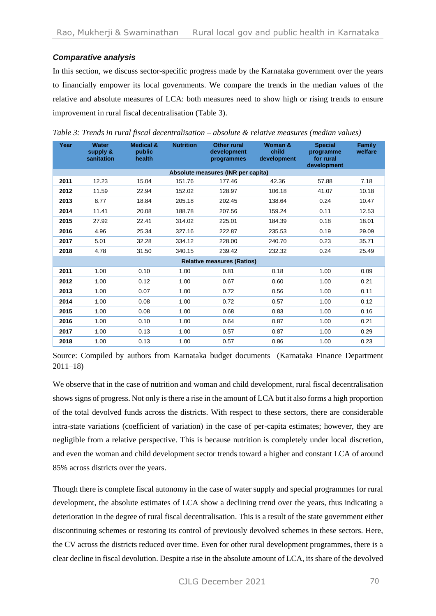## *Comparative analysis*

In this section, we discuss sector-specific progress made by the Karnataka government over the years to financially empower its local governments. We compare the trends in the median values of the relative and absolute measures of LCA: both measures need to show high or rising trends to ensure improvement in rural fiscal decentralisation (Table 3).

| Year                              | <b>Water</b><br>supply &<br>sanitation | <b>Medical &amp;</b><br>public<br>health | <b>Nutrition</b> | <b>Other rural</b><br>development<br>programmes | Woman &<br>child<br>development | <b>Special</b><br>programme<br>for rural<br>development | <b>Family</b><br>welfare |  |  |
|-----------------------------------|----------------------------------------|------------------------------------------|------------------|-------------------------------------------------|---------------------------------|---------------------------------------------------------|--------------------------|--|--|
|                                   |                                        |                                          |                  | Absolute measures (INR per capita)              |                                 |                                                         |                          |  |  |
| 2011                              | 12.23                                  | 15.04                                    | 151.76           | 177.46                                          | 42.36                           | 57.88                                                   | 7.18                     |  |  |
| 2012                              | 11.59                                  | 22.94                                    | 152.02           | 128.97                                          | 106.18                          | 41.07                                                   | 10.18                    |  |  |
| 2013                              | 8.77                                   | 18.84                                    | 205.18           | 202.45                                          | 138.64                          | 0.24                                                    | 10.47                    |  |  |
| 2014                              | 11.41                                  | 20.08                                    | 188.78           | 207.56                                          | 159.24                          | 0.11                                                    | 12.53                    |  |  |
| 2015                              | 27.92                                  | 22.41                                    | 314.02           | 225.01                                          | 184.39                          | 0.18                                                    | 18.01                    |  |  |
| 2016                              | 4.96                                   | 25.34                                    | 327.16           | 222.87                                          | 235.53                          | 0.19                                                    | 29.09                    |  |  |
| 2017                              | 5.01                                   | 32.28                                    | 334.12           | 228.00                                          | 240.70                          | 0.23                                                    | 35.71                    |  |  |
| 2018                              | 4.78                                   | 31.50                                    | 340.15           | 239.42                                          | 232.32                          | 0.24                                                    | 25.49                    |  |  |
| <b>Relative measures (Ratios)</b> |                                        |                                          |                  |                                                 |                                 |                                                         |                          |  |  |
| 2011                              | 1.00                                   | 0.10                                     | 1.00             | 0.81                                            | 0.18                            | 1.00                                                    | 0.09                     |  |  |
| 2012                              | 1.00                                   | 0.12                                     | 1.00             | 0.67                                            | 0.60                            | 1.00                                                    | 0.21                     |  |  |
| 2013                              | 1.00                                   | 0.07                                     | 1.00             | 0.72                                            | 0.56                            | 1.00                                                    | 0.11                     |  |  |
| 2014                              | 1.00                                   | 0.08                                     | 1.00             | 0.72                                            | 0.57                            | 1.00                                                    | 0.12                     |  |  |
| 2015                              | 1.00                                   | 0.08                                     | 1.00             | 0.68                                            | 0.83                            | 1.00                                                    | 0.16                     |  |  |
| 2016                              | 1.00                                   | 0.10                                     | 1.00             | 0.64                                            | 0.87                            | 1.00                                                    | 0.21                     |  |  |
| 2017                              | 1.00                                   | 0.13                                     | 1.00             | 0.57                                            | 0.87                            | 1.00                                                    | 0.29                     |  |  |
| 2018                              | 1.00                                   | 0.13                                     | 1.00             | 0.57                                            | 0.86                            | 1.00                                                    | 0.23                     |  |  |

*Table 3: Trends in rural fiscal decentralisation – absolute & relative measures (median values)* 

Source: Compiled by authors from Karnataka budget documents (Karnataka Finance Department 2011–18)

We observe that in the case of nutrition and woman and child development, rural fiscal decentralisation shows signs of progress. Not only is there a rise in the amount of LCA but it also forms a high proportion of the total devolved funds across the districts. With respect to these sectors, there are considerable intra-state variations (coefficient of variation) in the case of per-capita estimates; however, they are negligible from a relative perspective. This is because nutrition is completely under local discretion, and even the woman and child development sector trends toward a higher and constant LCA of around 85% across districts over the years.

Though there is complete fiscal autonomy in the case of water supply and special programmes for rural development, the absolute estimates of LCA show a declining trend over the years, thus indicating a deterioration in the degree of rural fiscal decentralisation. This is a result of the state government either discontinuing schemes or restoring its control of previously devolved schemes in these sectors. Here, the CV across the districts reduced over time. Even for other rural development programmes, there is a clear decline in fiscal devolution. Despite a rise in the absolute amount of LCA, its share of the devolved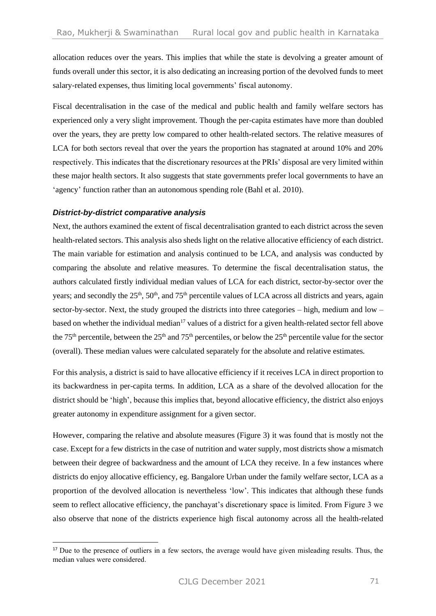allocation reduces over the years. This implies that while the state is devolving a greater amount of funds overall under this sector, it is also dedicating an increasing portion of the devolved funds to meet salary-related expenses, thus limiting local governments' fiscal autonomy.

Fiscal decentralisation in the case of the medical and public health and family welfare sectors has experienced only a very slight improvement. Though the per-capita estimates have more than doubled over the years, they are pretty low compared to other health-related sectors. The relative measures of LCA for both sectors reveal that over the years the proportion has stagnated at around 10% and 20% respectively. This indicates that the discretionary resources at the PRIs' disposal are very limited within these major health sectors. It also suggests that state governments prefer local governments to have an 'agency' function rather than an autonomous spending role (Bahl et al. 2010).

## *District-by-district comparative analysis*

Next, the authors examined the extent of fiscal decentralisation granted to each district across the seven health-related sectors. This analysis also sheds light on the relative allocative efficiency of each district. The main variable for estimation and analysis continued to be LCA, and analysis was conducted by comparing the absolute and relative measures. To determine the fiscal decentralisation status, the authors calculated firstly individual median values of LCA for each district, sector-by-sector over the years; and secondly the 25<sup>th</sup>, 50<sup>th</sup>, and 75<sup>th</sup> percentile values of LCA across all districts and years, again sector-by-sector. Next, the study grouped the districts into three categories – high, medium and low – based on whether the individual median<sup>17</sup> values of a district for a given health-related sector fell above the 75<sup>th</sup> percentile, between the 25<sup>th</sup> and 75<sup>th</sup> percentiles, or below the 25<sup>th</sup> percentile value for the sector (overall). These median values were calculated separately for the absolute and relative estimates*.*

For this analysis, a district is said to have allocative efficiency if it receives LCA in direct proportion to its backwardness in per-capita terms. In addition, LCA as a share of the devolved allocation for the district should be 'high', because this implies that, beyond allocative efficiency, the district also enjoys greater autonomy in expenditure assignment for a given sector.

However, comparing the relative and absolute measures (Figure 3) it was found that is mostly not the case. Except for a few districts in the case of nutrition and water supply, most districts show a mismatch between their degree of backwardness and the amount of LCA they receive. In a few instances where districts do enjoy allocative efficiency, eg. Bangalore Urban under the family welfare sector, LCA as a proportion of the devolved allocation is nevertheless 'low'. This indicates that although these funds seem to reflect allocative efficiency, the panchayat's discretionary space is limited. From Figure 3 we also observe that none of the districts experience high fiscal autonomy across all the health-related

<sup>&</sup>lt;sup>17</sup> Due to the presence of outliers in a few sectors, the average would have given misleading results. Thus, the median values were considered.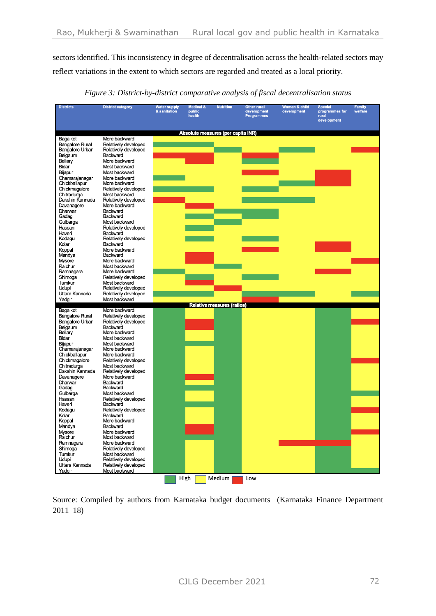sectors identified. This inconsistency in degree of decentralisation across the health-related sectors may reflect variations in the extent to which sectors are regarded and treated as a local priority.

| <b>Districts</b>               | <b>District category</b>                     | <b>Water supply</b><br>& sanitation | <b>Medical &amp;</b><br>public<br>health | <b>Nutrition</b>                   | <b>Other rural</b><br>development<br><b>Programmes</b> | Woman & child<br>development | <b>Special</b><br>programmes for<br>rural<br>development | <b>Family</b><br>welfare |
|--------------------------------|----------------------------------------------|-------------------------------------|------------------------------------------|------------------------------------|--------------------------------------------------------|------------------------------|----------------------------------------------------------|--------------------------|
|                                |                                              |                                     |                                          | Absolute measures (per capita INR) |                                                        |                              |                                                          |                          |
| Bagalkot                       | More backward                                |                                     |                                          |                                    |                                                        |                              |                                                          |                          |
| Bangalore Rural                | Relatively developed                         |                                     |                                          |                                    |                                                        |                              |                                                          |                          |
| Bangalore Urban<br>Belgaum     | Relatively developed<br><b>Backward</b>      |                                     |                                          |                                    |                                                        |                              |                                                          |                          |
| Bellary                        | More backward                                |                                     |                                          |                                    |                                                        |                              |                                                          |                          |
| Bidar                          | Most backward                                |                                     |                                          |                                    |                                                        |                              |                                                          |                          |
| Bijapur                        | Most backward                                |                                     |                                          |                                    |                                                        |                              |                                                          |                          |
| Chamarajanagar                 | More backward                                |                                     |                                          |                                    |                                                        |                              |                                                          |                          |
| Chickballapur                  | More backward                                |                                     |                                          |                                    |                                                        |                              |                                                          |                          |
| Chickmagalore                  | Relatively developed<br>Most backward        |                                     |                                          |                                    |                                                        |                              |                                                          |                          |
| Chitradurga<br>Dakshin Kannada | Relatively developed                         |                                     |                                          |                                    |                                                        |                              |                                                          |                          |
| Davanagere                     | More backward                                |                                     |                                          |                                    |                                                        |                              |                                                          |                          |
| Dharwar                        | Backward                                     |                                     |                                          |                                    |                                                        |                              |                                                          |                          |
| Gadag                          | <b>Backward</b>                              |                                     |                                          |                                    |                                                        |                              |                                                          |                          |
| Gulbarga                       | Most backward                                |                                     |                                          |                                    |                                                        |                              |                                                          |                          |
| Hassan<br>Haveri               | Relatively developed<br>Backward             |                                     |                                          |                                    |                                                        |                              |                                                          |                          |
| Kodagu                         | Relatively developed                         |                                     |                                          |                                    |                                                        |                              |                                                          |                          |
| Kolar                          | Backward                                     |                                     |                                          |                                    |                                                        |                              |                                                          |                          |
| Koppal                         | More backward                                |                                     |                                          |                                    |                                                        |                              |                                                          |                          |
| Mandya                         | <b>Backward</b>                              |                                     |                                          |                                    |                                                        |                              |                                                          |                          |
| Mysore<br>Raichur              | More backward<br>Most backward               |                                     |                                          |                                    |                                                        |                              |                                                          |                          |
| Ramnagara                      | More backward                                |                                     |                                          |                                    |                                                        |                              |                                                          |                          |
| Shimoga                        | Relatively developed                         |                                     |                                          |                                    |                                                        |                              |                                                          |                          |
| Tumkur                         | Most backward                                |                                     |                                          |                                    |                                                        |                              |                                                          |                          |
| Udupi                          | Relatively developed                         |                                     |                                          |                                    |                                                        |                              |                                                          |                          |
| Uttara Kannada<br>Yadgir       | Relatively developed<br>Most backward        |                                     |                                          |                                    |                                                        |                              |                                                          |                          |
|                                |                                              |                                     |                                          | <b>Relative measures (ratios)</b>  |                                                        |                              |                                                          |                          |
| Bagalkot                       | More backward                                |                                     |                                          |                                    |                                                        |                              |                                                          |                          |
| Bangalore Rural                | Relatively developed                         |                                     |                                          |                                    |                                                        |                              |                                                          |                          |
| Bangalore Urban<br>Belgaum     | Relatively developed<br>Backward             |                                     |                                          |                                    |                                                        |                              |                                                          |                          |
| Bellary                        | More backward                                |                                     |                                          |                                    |                                                        |                              |                                                          |                          |
| Bidar                          | Most backward                                |                                     |                                          |                                    |                                                        |                              |                                                          |                          |
| Bijapur                        | Most backward                                |                                     |                                          |                                    |                                                        |                              |                                                          |                          |
| Chamarajanagar                 | More backward                                |                                     |                                          |                                    |                                                        |                              |                                                          |                          |
| Chickballapur                  | More backward                                |                                     |                                          |                                    |                                                        |                              |                                                          |                          |
| Chickmagalore<br>Chitradurga   | Relatively developed<br>Most backward        |                                     |                                          |                                    |                                                        |                              |                                                          |                          |
| Dakshin Kannada                | Relatively developed                         |                                     |                                          |                                    |                                                        |                              |                                                          |                          |
| Davanagere                     | More backward                                |                                     |                                          |                                    |                                                        |                              |                                                          |                          |
| Dharwar                        | Backward                                     |                                     |                                          |                                    |                                                        |                              |                                                          |                          |
| Gadag<br>Gulbarga              | <b>Backward</b><br>Most backward             |                                     |                                          |                                    |                                                        |                              |                                                          |                          |
| Hassan                         | Relatively developed                         |                                     |                                          |                                    |                                                        |                              |                                                          |                          |
| Haveri                         | <b>Backward</b>                              |                                     |                                          |                                    |                                                        |                              |                                                          |                          |
| Kodagu                         | Relatively developed                         |                                     |                                          |                                    |                                                        |                              |                                                          |                          |
| Kolar                          | Backward                                     |                                     |                                          |                                    |                                                        |                              |                                                          |                          |
| Koppal                         | More backward<br>Backward                    |                                     |                                          |                                    |                                                        |                              |                                                          |                          |
| Mandya<br>Mysore               | More backward                                |                                     |                                          |                                    |                                                        |                              |                                                          |                          |
| Raichur                        | Most backward                                |                                     |                                          |                                    |                                                        |                              |                                                          |                          |
| Ramnagara                      | More backward                                |                                     |                                          |                                    |                                                        |                              |                                                          |                          |
| Shimoga                        | Relatively developed                         |                                     |                                          |                                    |                                                        |                              |                                                          |                          |
| Tumkur                         | Most backward                                |                                     |                                          |                                    |                                                        |                              |                                                          |                          |
| Udupi<br>Uttara Kannada        | Relatively developed<br>Relatively developed |                                     |                                          |                                    |                                                        |                              |                                                          |                          |
| Yadgir                         | Most backward                                |                                     |                                          |                                    |                                                        |                              |                                                          |                          |
|                                |                                              |                                     | High                                     | Medium                             | Low                                                    |                              |                                                          |                          |

*Figure 3: District-by-district comparative analysis of fiscal decentralisation status*

Source: Compiled by authors from Karnataka budget documents (Karnataka Finance Department 2011–18)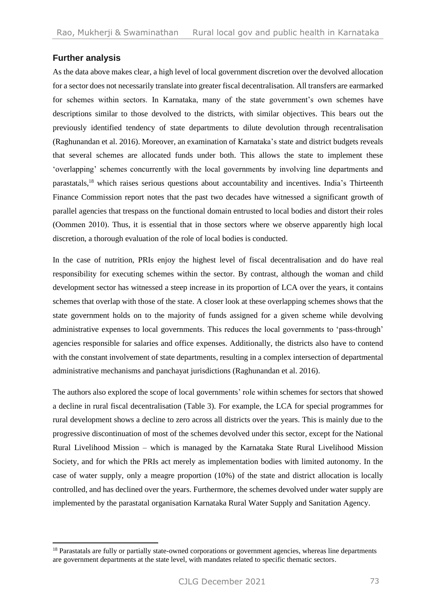## **Further analysis**

As the data above makes clear, a high level of local government discretion over the devolved allocation for a sector does not necessarily translate into greater fiscal decentralisation. All transfers are earmarked for schemes within sectors. In Karnataka, many of the state government's own schemes have descriptions similar to those devolved to the districts, with similar objectives. This bears out the previously identified tendency of state departments to dilute devolution through recentralisation (Raghunandan et al. 2016). Moreover, an examination of Karnataka's state and district budgets reveals that several schemes are allocated funds under both. This allows the state to implement these 'overlapping' schemes concurrently with the local governments by involving line departments and parastatals,<sup>18</sup> which raises serious questions about accountability and incentives. India's Thirteenth Finance Commission report notes that the past two decades have witnessed a significant growth of parallel agencies that trespass on the functional domain entrusted to local bodies and distort their roles (Oommen 2010). Thus, it is essential that in those sectors where we observe apparently high local discretion, a thorough evaluation of the role of local bodies is conducted.

In the case of nutrition, PRIs enjoy the highest level of fiscal decentralisation and do have real responsibility for executing schemes within the sector. By contrast, although the woman and child development sector has witnessed a steep increase in its proportion of LCA over the years, it contains schemes that overlap with those of the state. A closer look at these overlapping schemes shows that the state government holds on to the majority of funds assigned for a given scheme while devolving administrative expenses to local governments. This reduces the local governments to 'pass-through' agencies responsible for salaries and office expenses. Additionally, the districts also have to contend with the constant involvement of state departments, resulting in a complex intersection of departmental administrative mechanisms and panchayat jurisdictions (Raghunandan et al. 2016).

The authors also explored the scope of local governments' role within schemes for sectors that showed a decline in rural fiscal decentralisation (Table 3). For example, the LCA for special programmes for rural development shows a decline to zero across all districts over the years. This is mainly due to the progressive discontinuation of most of the schemes devolved under this sector, except for the National Rural Livelihood Mission – which is managed by the Karnataka State Rural Livelihood Mission Society, and for which the PRIs act merely as implementation bodies with limited autonomy. In the case of water supply, only a meagre proportion (10%) of the state and district allocation is locally controlled, and has declined over the years. Furthermore, the schemes devolved under water supply are implemented by the parastatal organisation Karnataka Rural Water Supply and Sanitation Agency.

<sup>&</sup>lt;sup>18</sup> Parastatals are fully or partially state-owned corporations or government agencies, whereas line departments are government departments at the state level, with mandates related to specific thematic sectors.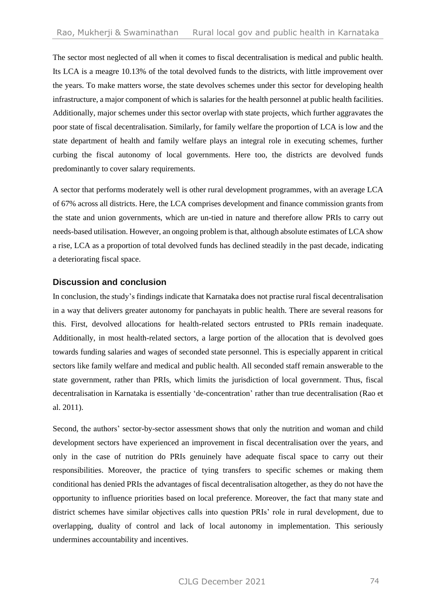The sector most neglected of all when it comes to fiscal decentralisation is medical and public health. Its LCA is a meagre 10.13% of the total devolved funds to the districts, with little improvement over the years. To make matters worse, the state devolves schemes under this sector for developing health infrastructure, a major component of which is salaries for the health personnel at public health facilities. Additionally, major schemes under this sector overlap with state projects, which further aggravates the poor state of fiscal decentralisation. Similarly, for family welfare the proportion of LCA is low and the state department of health and family welfare plays an integral role in executing schemes, further curbing the fiscal autonomy of local governments. Here too, the districts are devolved funds predominantly to cover salary requirements.

A sector that performs moderately well is other rural development programmes, with an average LCA of 67% across all districts. Here, the LCA comprises development and finance commission grants from the state and union governments, which are un-tied in nature and therefore allow PRIs to carry out needs-based utilisation. However, an ongoing problem is that, although absolute estimates of LCA show a rise, LCA as a proportion of total devolved funds has declined steadily in the past decade, indicating a deteriorating fiscal space.

#### **Discussion and conclusion**

In conclusion, the study's findings indicate that Karnataka does not practise rural fiscal decentralisation in a way that delivers greater autonomy for panchayats in public health. There are several reasons for this. First, devolved allocations for health-related sectors entrusted to PRIs remain inadequate. Additionally, in most health-related sectors, a large portion of the allocation that is devolved goes towards funding salaries and wages of seconded state personnel. This is especially apparent in critical sectors like family welfare and medical and public health. All seconded staff remain answerable to the state government, rather than PRIs, which limits the jurisdiction of local government. Thus, fiscal decentralisation in Karnataka is essentially 'de-concentration' rather than true decentralisation (Rao et al. 2011).

Second, the authors' sector-by-sector assessment shows that only the nutrition and woman and child development sectors have experienced an improvement in fiscal decentralisation over the years, and only in the case of nutrition do PRIs genuinely have adequate fiscal space to carry out their responsibilities. Moreover, the practice of tying transfers to specific schemes or making them conditional has denied PRIs the advantages of fiscal decentralisation altogether, as they do not have the opportunity to influence priorities based on local preference. Moreover, the fact that many state and district schemes have similar objectives calls into question PRIs' role in rural development, due to overlapping, duality of control and lack of local autonomy in implementation. This seriously undermines accountability and incentives.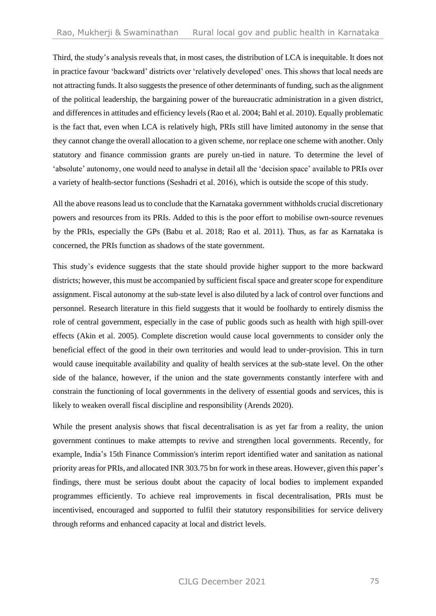Third, the study's analysis reveals that, in most cases, the distribution of LCA is inequitable. It does not in practice favour 'backward' districts over 'relatively developed' ones. This shows that local needs are not attracting funds. It also suggests the presence of other determinants of funding, such as the alignment of the political leadership, the bargaining power of the bureaucratic administration in a given district, and differences in attitudes and efficiency levels (Rao et al. 2004; Bahl et al. 2010). Equally problematic is the fact that, even when LCA is relatively high, PRIs still have limited autonomy in the sense that they cannot change the overall allocation to a given scheme, nor replace one scheme with another. Only statutory and finance commission grants are purely un-tied in nature. To determine the level of 'absolute' autonomy, one would need to analyse in detail all the 'decision space' available to PRIs over a variety of health-sector functions (Seshadri et al. 2016), which is outside the scope of this study.

All the above reasons lead us to conclude that the Karnataka government withholds crucial discretionary powers and resources from its PRIs. Added to this is the poor effort to mobilise own-source revenues by the PRIs, especially the GPs (Babu et al. 2018; Rao et al. 2011). Thus, as far as Karnataka is concerned, the PRIs function as shadows of the state government.

This study's evidence suggests that the state should provide higher support to the more backward districts; however, this must be accompanied by sufficient fiscal space and greater scope for expenditure assignment. Fiscal autonomy at the sub-state level is also diluted by a lack of control over functions and personnel. Research literature in this field suggests that it would be foolhardy to entirely dismiss the role of central government, especially in the case of public goods such as health with high spill-over effects (Akin et al. 2005). Complete discretion would cause local governments to consider only the beneficial effect of the good in their own territories and would lead to under-provision. This in turn would cause inequitable availability and quality of health services at the sub-state level. On the other side of the balance, however, if the union and the state governments constantly interfere with and constrain the functioning of local governments in the delivery of essential goods and services, this is likely to weaken overall fiscal discipline and responsibility (Arends 2020).

While the present analysis shows that fiscal decentralisation is as yet far from a reality, the union government continues to make attempts to revive and strengthen local governments. Recently, for example, India's 15th Finance Commission's interim report identified water and sanitation as national priority areas for PRIs, and allocated INR 303.75 bn for work in these areas. However, given this paper's findings, there must be serious doubt about the capacity of local bodies to implement expanded programmes efficiently. To achieve real improvements in fiscal decentralisation, PRIs must be incentivised, encouraged and supported to fulfil their statutory responsibilities for service delivery through reforms and enhanced capacity at local and district levels.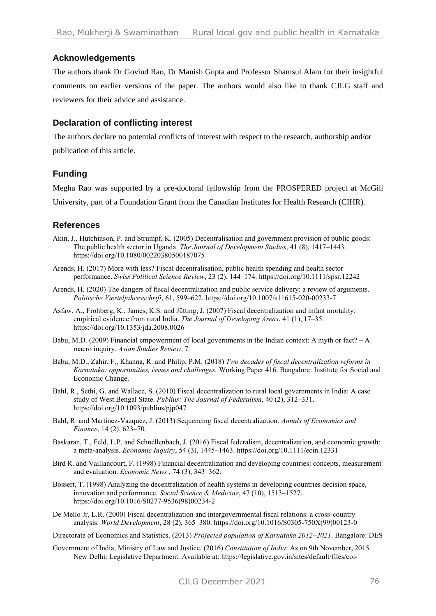## **Acknowledgements**

The authors thank Dr Govind Rao, Dr Manish Gupta and Professor Shamsul Alam for their insightful comments on earlier versions of the paper. The authors would also like to thank CJLG staff and reviewers for their advice and assistance.

## **Declaration of conflicting interest**

The authors declare no potential conflicts of interest with respect to the research, authorship and/or publication of this article.

## **Funding**

Megha Rao was supported by a pre-doctoral fellowship from the PROSPERED project at McGill University, part of a Foundation Grant from the Canadian Institutes for Health Research (CIHR).

## **References**

- Akin, J., Hutchinson, P. and Strumpf, K. (2005) Decentralisation and government provision of public goods: The public health sector in Uganda. *The Journal of Development Studies*, 41 (8), 1417–1443. https://doi.org/10.1080/00220380500187075
- Arends, H. (2017) More with less? Fiscal decentralisation, public health spending and health sector performance. *Swiss Political Science Review*, 23 (2), 144–174. <https://doi.org/10.1111/spsr.12242>
- Arends, H. (2020) The dangers of fiscal decentralization and public service delivery: a review of arguments. *Politische Vierteljahresschrift*, 61, 599–622[. https://doi.org/10.1007/s11615-020-00233-7](https://doi.org/10.1007/s11615-020-00233-7)
- Asfaw, A., Frohberg, K., James, K.S. and Jütting, J. (2007) Fiscal decentralization and infant mortality: empirical evidence from rural India. *The Journal of Developing Areas*, 41 (1), 17–35. https://doi.org/10.1353/jda.2008.0026
- Babu, M.D. (2009) Financial empowerment of local governments in the Indian context: A myth or fact? A macro inquiry. *Asian Studies Review*, 7.
- Babu, M.D., Zahir, F., Khanna, R. and Philip, P.M. (2018) *Two decades of fiscal decentralization reforms in Karnataka: opportunities, issues and challenges.* Working Paper 416. Bangalore: Institute for Social and Economic Change.
- Bahl, R., Sethi, G. and Wallace, S. (2010) Fiscal decentralization to rural local governments in India: A case study of West Bengal State. *Publius: The Journal of Federalism*, 40 (2), 312–331. <https://doi.org/10.1093/publius/pjp047>
- Bahl, R. and Martinez-Vazquez, J. (2013) Sequencing fiscal decentralization. *Annals of Economics and Finance*, 14 (2), 623–70.
- Baskaran, T., Feld, L.P. and Schnellenbach, J. (2016) Fiscal federalism, decentralization, and economic growth: a meta‐analysis. *Economic Inquiry*, 54 (3), 1445–1463. https://doi.org/10.1111/ecin.12331
- Bird R. and Vaillancourt, F. (1998) Financial decentralization and developing countries: concepts, measurement and evaluation. *Economic News* , 74 (3), 343–362.
- Bossert, T. (1998) Analyzing the decentralization of health systems in developing countries decision space, innovation and performance. *Social Science & Medicine*, 47 (10), 1513–1527. [https://doi.org/10.1016/S0277-9536\(98\)00234-2](https://doi.org/10.1016/S0277-9536(98)00234-2)
- De Mello Jr, L.R. (2000) Fiscal decentralization and intergovernmental fiscal relations: a cross-country analysis. *World Development*, 28 (2), 365–380. https://doi.org/10.1016/S0305-750X(99)00123-0

Directorate of Economics and Statistics. (2013) *Projected population of Karnataka 2012–2021*. Bangalore: DES

Government of India, Ministry of Law and Justice. (2016) *Constitution of India*: As on 9th November, 2015. New Delhi: Legislative Department. Available at: [https://legislative.gov.in/sites/default/files/coi-](https://legislative.gov.in/sites/default/files/coi-4March2016.pdf)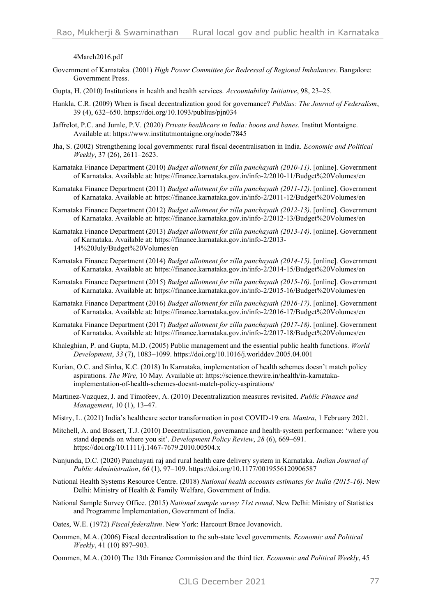[4March2016.pdf](https://legislative.gov.in/sites/default/files/coi-4March2016.pdf)

- Government of Karnataka. (2001) *High Power Committee for Redressal of Regional Imbalances*. Bangalore: Government Press.
- Gupta, H. (2010) Institutions in health and health services. *Accountability Initiative*, 98, 23–25.
- Hankla, C.R. (2009) When is fiscal decentralization good for governance? *Publius: The Journal of Federalism*, 39 (4), 632–650[. https://doi.org/10.1093/publius/pjn034](https://doi.org/10.1093/publius/pjn034)
- Jaffrelot, P.C. and Jumle, P.V. (2020) *Private healthcare in India: boons and banes.* Institut Montaigne. Available at:<https://www.institutmontaigne.org/node/7845>
- Jha, S. (2002) Strengthening local governments: rural fiscal decentralisation in India. *Economic and Political Weekly*, 37 (26), 2611–2623.
- Karnataka Finance Department (2010) *Budget allotment for zilla panchayath (2010-11)*. [online]. Government of Karnataka. Available at: <https://finance.karnataka.gov.in/info-2/2010-11/Budget%20Volumes/en>
- Karnataka Finance Department (2011) *Budget allotment for zilla panchayath (2011-12)*. [online]. Government of Karnataka. Available at:<https://finance.karnataka.gov.in/info-2/2011-12/Budget%20Volumes/en>
- Karnataka Finance Department (2012) *Budget allotment for zilla panchayath (2012-13)*. [online]. Government of Karnataka. Available at:<https://finance.karnataka.gov.in/info-2/2012-13/Budget%20Volumes/en>
- Karnataka Finance Department (2013) *Budget allotment for zilla panchayath (2013-14)*. [online]. Government of Karnataka. Available at: [https://finance.karnataka.gov.in/info-2/2013-](https://finance.karnataka.gov.in/info-2/2013-14%20July/Budget%20Volumes/en) [14%20July/Budget%20Volumes/en](https://finance.karnataka.gov.in/info-2/2013-14%20July/Budget%20Volumes/en)
- Karnataka Finance Department (2014) *Budget allotment for zilla panchayath (2014-15)*. [online]. Government of Karnataka. Available at:<https://finance.karnataka.gov.in/info-2/2014-15/Budget%20Volumes/en>
- Karnataka Finance Department (2015) *Budget allotment for zilla panchayath (2015-16)*. [online]. Government of Karnataka. Available at:<https://finance.karnataka.gov.in/info-2/2015-16/Budget%20Volumes/en>
- Karnataka Finance Department (2016) *Budget allotment for zilla panchayath (2016-17)*. [online]. Government of Karnataka. Available at:<https://finance.karnataka.gov.in/info-2/2016-17/Budget%20Volumes/en>
- Karnataka Finance Department (2017) *Budget allotment for zilla panchayath (2017-18)*. [online]. Government of Karnataka. Available at:<https://finance.karnataka.gov.in/info-2/2017-18/Budget%20Volumes/en>
- Khaleghian, P. and Gupta, M.D. (2005) Public management and the essential public health functions. *World Development*, *33* (7), 1083–1099.<https://doi.org/10.1016/j.worlddev.2005.04.001>
- Kurian, O.C. and Sinha, K.C. (2018) In Karnataka, implementation of health schemes doesn't match policy aspirations. *The Wire,* 10 May*.* Available at: [https://science.thewire.in/health/in-karnataka](https://science.thewire.in/health/in-karnataka-implementation-of-health-schemes-doesnt-match-policy-aspirations/)[implementation-of-health-schemes-doesnt-match-policy-aspirations/](https://science.thewire.in/health/in-karnataka-implementation-of-health-schemes-doesnt-match-policy-aspirations/)
- Martinez-Vazquez, J. and Timofeev, A. (2010) Decentralization measures revisited. *Public Finance and Management*, 10 (1), 13–47.
- Mistry, L. (2021) India's healthcare sector transformation in post COVID-19 era. *Mantra*, 1 February 2021.
- Mitchell, A. and Bossert, T.J. (2010) Decentralisation, governance and health-system performance: 'where you stand depends on where you sit'. *Development Policy Review*, *28* (6), 669–691. <https://doi.org/10.1111/j.1467-7679.2010.00504.x>
- Nanjunda, D.C. (2020) Panchayati raj and rural health care delivery system in Karnataka. *Indian Journal of Public Administration*, *66* (1), 97–109.<https://doi.org/10.1177/0019556120906587>
- National Health Systems Resource Centre. (2018) *National health accounts estimates for India (2015-16)*. New Delhi: Ministry of Health & Family Welfare, Government of India.
- National Sample Survey Office. (2015) *National sample survey 71st round*. New Delhi: Ministry of Statistics and Programme Implementation, Government of India.
- Oates, W.E. (1972) *Fiscal federalism*. New York: Harcourt Brace Jovanovich.
- Oommen, M.A. (2006) Fiscal decentralisation to the sub-state level governments. *Economic and Political Weekly*, 41 (10) 897–903.
- Oommen, M.A. (2010) The 13th Finance Commission and the third tier. *Economic and Political Weekly*, 45